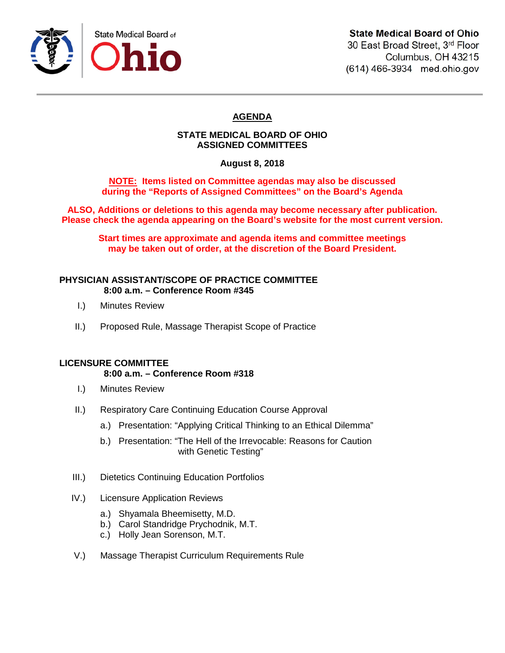

30 East Broad Street, 3rd Floor Columbus, OH 43215 (614) 466-3934 med.ohio.gov

# **AGENDA**

## **STATE MEDICAL BOARD OF OHIO ASSIGNED COMMITTEES**

**August 8, 2018**

**NOTE: Items listed on Committee agendas may also be discussed during the "Reports of Assigned Committees" on the Board's Agenda**

**ALSO, Additions or deletions to this agenda may become necessary after publication. Please check the agenda appearing on the Board's website for the most current version.**

**Start times are approximate and agenda items and committee meetings may be taken out of order, at the discretion of the Board President.**

## **PHYSICIAN ASSISTANT/SCOPE OF PRACTICE COMMITTEE 8:00 a.m. – Conference Room #345**

- I.) Minutes Review
- II.) Proposed Rule, Massage Therapist Scope of Practice

## **LICENSURE COMMITTEE**

# **8:00 a.m. – Conference Room #318**

- I.) Minutes Review
- II.) Respiratory Care Continuing Education Course Approval
	- a.) Presentation: "Applying Critical Thinking to an Ethical Dilemma"
	- b.) Presentation: "The Hell of the Irrevocable: Reasons for Caution with Genetic Testing"
- III.) Dietetics Continuing Education Portfolios
- IV.) Licensure Application Reviews
	- a.) Shyamala Bheemisetty, M.D.
	- b.) Carol Standridge Prychodnik, M.T.
	- c.) Holly Jean Sorenson, M.T.
- V.) Massage Therapist Curriculum Requirements Rule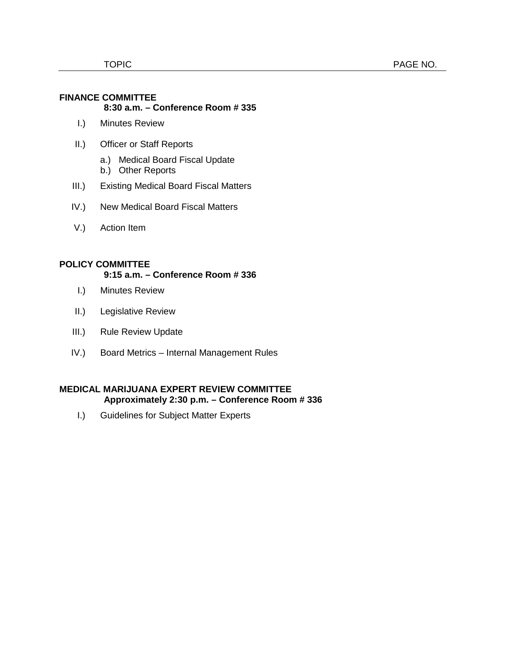#### **FINANCE COMMITTEE 8:30 a.m. – Conference Room # 335**

- I.) Minutes Review
- II.) Officer or Staff Reports
	- a.) Medical Board Fiscal Update
	- b.) Other Reports
- III.) Existing Medical Board Fiscal Matters
- IV.) New Medical Board Fiscal Matters
- V.) Action Item

## **POLICY COMMITTEE**

## **9:15 a.m. – Conference Room # 336**

- I.) Minutes Review
- II.) Legislative Review
- III.) Rule Review Update
- IV.) Board Metrics Internal Management Rules

### **MEDICAL MARIJUANA EXPERT REVIEW COMMITTEE Approximately 2:30 p.m. – Conference Room # 336**

I.) Guidelines for Subject Matter Experts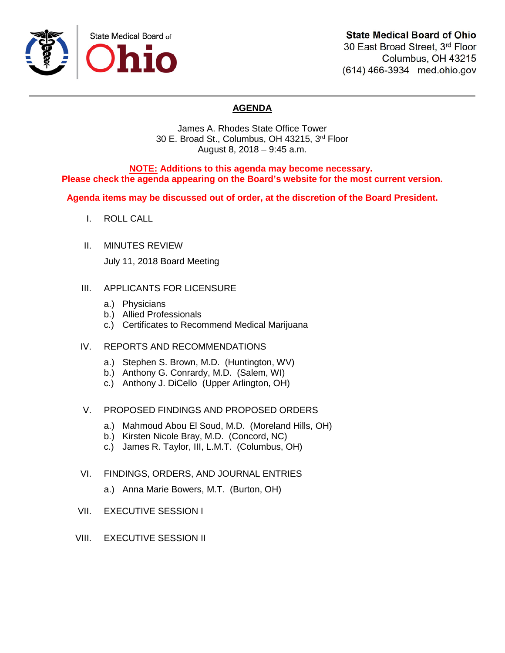

# **State Medical Board of Ohio**

30 East Broad Street, 3rd Floor Columbus, OH 43215 (614) 466-3934 med.ohio.gov

# **AGENDA**

James A. Rhodes State Office Tower 30 E. Broad St., Columbus, OH 43215, 3rd Floor August 8, 2018 – 9:45 a.m.

**NOTE: Additions to this agenda may become necessary. Please check the agenda appearing on the Board's website for the most current version.**

**Agenda items may be discussed out of order, at the discretion of the Board President.**

- I. ROLL CALL
- II. MINUTES REVIEW July 11, 2018 Board Meeting

## III. APPLICANTS FOR LICENSURE

- a.) Physicians
- b.) Allied Professionals
- c.) Certificates to Recommend Medical Marijuana
- IV. REPORTS AND RECOMMENDATIONS
	- a.) Stephen S. Brown, M.D. (Huntington, WV)
	- b.) Anthony G. Conrardy, M.D. (Salem, WI)
	- c.) Anthony J. DiCello (Upper Arlington, OH)

## V. PROPOSED FINDINGS AND PROPOSED ORDERS

- a.) Mahmoud Abou El Soud, M.D. (Moreland Hills, OH)
- b.) Kirsten Nicole Bray, M.D. (Concord, NC)
- c.) James R. Taylor, III, L.M.T. (Columbus, OH)
- VI. FINDINGS, ORDERS, AND JOURNAL ENTRIES
	- a.) Anna Marie Bowers, M.T. (Burton, OH)
- VII. EXECUTIVE SESSION I
- VIII. EXECUTIVE SESSION II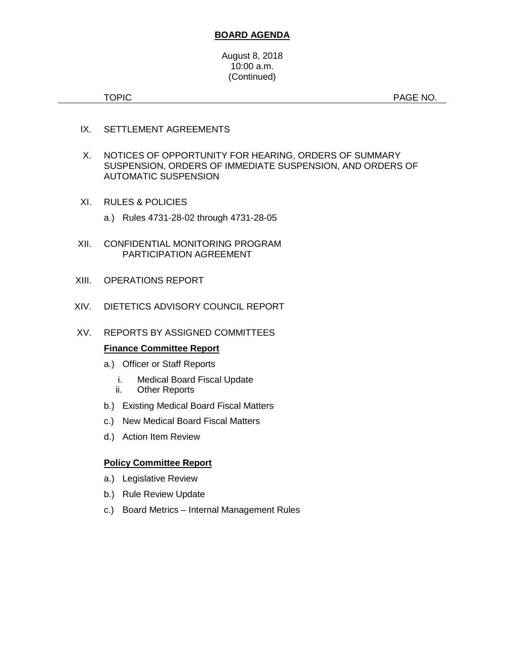## **BOARD AGENDA**

#### August 8, 2018 10:00 a.m. (Continued)

TOPIC **Example 2012 12:20 PAGE NO.** PAGE NO.

- IX. SETTLEMENT AGREEMENTS
- X. NOTICES OF OPPORTUNITY FOR HEARING, ORDERS OF SUMMARY SUSPENSION, ORDERS OF IMMEDIATE SUSPENSION, AND ORDERS OF AUTOMATIC SUSPENSION
- XI. RULES & POLICIES
	- a.) Rules 4731-28-02 through 4731-28-05
- XII. CONFIDENTIAL MONITORING PROGRAM PARTICIPATION AGREEMENT
- XIII. OPERATIONS REPORT
- XIV. DIETETICS ADVISORY COUNCIL REPORT
- XV. REPORTS BY ASSIGNED COMMITTEES

#### **Finance Committee Report**

- a.) Officer or Staff Reports
	- i. Medical Board Fiscal Update
	- ii. Other Reports
- b.) Existing Medical Board Fiscal Matters
- c.) New Medical Board Fiscal Matters
- d.) Action Item Review

#### **Policy Committee Report**

- a.) Legislative Review
- b.) Rule Review Update
- c.) Board Metrics Internal Management Rules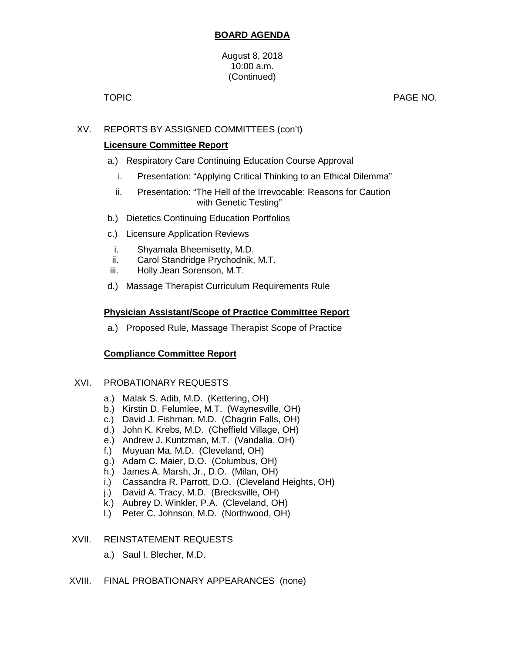## **BOARD AGENDA**

#### August 8, 2018 10:00 a.m. (Continued)

TOPIC **PAGE NO.** 

## XV. REPORTS BY ASSIGNED COMMITTEES (con't)

## **Licensure Committee Report**

- a.) Respiratory Care Continuing Education Course Approval
	- i. Presentation: "Applying Critical Thinking to an Ethical Dilemma"
	- ii. Presentation: "The Hell of the Irrevocable: Reasons for Caution with Genetic Testing"
- b.) Dietetics Continuing Education Portfolios
- c.) Licensure Application Reviews
- i. Shyamala Bheemisetty, M.D.
- ii. Carol Standridge Prychodnik, M.T.
- iii. Holly Jean Sorenson, M.T.
- d.) Massage Therapist Curriculum Requirements Rule

## **Physician Assistant/Scope of Practice Committee Report**

a.) Proposed Rule, Massage Therapist Scope of Practice

## **Compliance Committee Report**

## XVI. PROBATIONARY REQUESTS

- a.) Malak S. Adib, M.D. (Kettering, OH)
- b.) Kirstin D. Felumlee, M.T. (Waynesville, OH)
- c.) David J. Fishman, M.D. (Chagrin Falls, OH)
- d.) John K. Krebs, M.D. (Cheffield Village, OH)
- e.) Andrew J. Kuntzman, M.T. (Vandalia, OH)
- f.) Muyuan Ma, M.D. (Cleveland, OH)
- g.) Adam C. Maier, D.O. (Columbus, OH)
- h.) James A. Marsh, Jr., D.O. (Milan, OH)
- i.) Cassandra R. Parrott, D.O. (Cleveland Heights, OH)
- j.) David A. Tracy, M.D. (Brecksville, OH)
- k.) Aubrey D. Winkler, P.A. (Cleveland, OH)
- l.) Peter C. Johnson, M.D. (Northwood, OH)

## XVII. REINSTATEMENT REQUESTS

a.) Saul I. Blecher, M.D.

## XVIII. FINAL PROBATIONARY APPEARANCES (none)